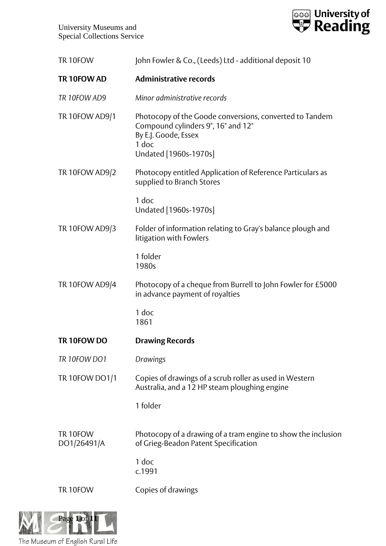



| TR 10FOW                | John Fowler & Co., (Leeds) Ltd - additional deposit 10                                                                                                  |
|-------------------------|---------------------------------------------------------------------------------------------------------------------------------------------------------|
| TR 10FOW AD             | <b>Administrative records</b>                                                                                                                           |
| TR 10FOW AD9            | Minor administrative records                                                                                                                            |
| <b>TR 10FOW AD9/1</b>   | Photocopy of the Goode conversions, converted to Tandem<br>Compound cylinders 9", 16" and 12"<br>By E.J. Goode, Essex<br>1 doc<br>Undated [1960s-1970s] |
| <b>TR 10FOW AD9/2</b>   | Photocopy entitled Application of Reference Particulars as<br>supplied to Branch Stores                                                                 |
|                         | 1 doc<br>Undated [1960s-1970s]                                                                                                                          |
| TR 10FOW AD9/3          | Folder of information relating to Gray's balance plough and<br>litigation with Fowlers                                                                  |
|                         | 1 folder<br>1980s                                                                                                                                       |
| <b>TR 10FOW AD9/4</b>   | Photocopy of a cheque from Burrell to John Fowler for £5000<br>in advance payment of royalties                                                          |
|                         | 1 doc<br>1861                                                                                                                                           |
| TR 10FOW DO             | <b>Drawing Records</b>                                                                                                                                  |
| TR 10FOW DO1            | Drawings                                                                                                                                                |
| TR 10FOW DO1/1          | Copies of drawings of a scrub roller as used in Western<br>Australia, and a 12 HP steam ploughing engine                                                |
|                         | 1 folder                                                                                                                                                |
| TR 10FOW<br>DO1/26491/A | Photocopy of a drawing of a tram engine to show the inclusion<br>of Grieg-Beadon Patent Specification                                                   |
|                         | 1 doc<br>c.1991                                                                                                                                         |
| TR 10FOW                | Copies of drawings                                                                                                                                      |
|                         |                                                                                                                                                         |



The Museum of English Rural Life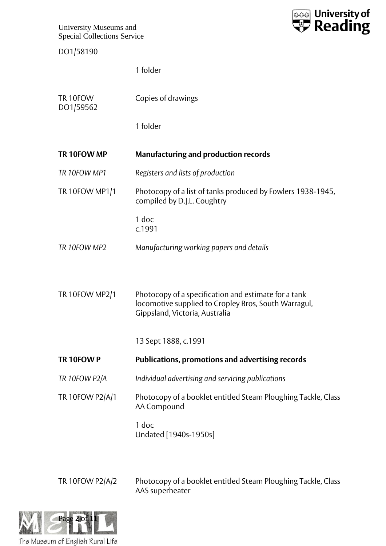DO1/58190



|                       | 1 folder                                                                                                                                       |
|-----------------------|------------------------------------------------------------------------------------------------------------------------------------------------|
| TR 10FOW<br>DO1/59562 | Copies of drawings                                                                                                                             |
|                       | 1 folder                                                                                                                                       |
| TR 10FOW MP           | <b>Manufacturing and production records</b>                                                                                                    |
| TR 10FOW MP1          | Registers and lists of production                                                                                                              |
| <b>TR 10FOW MP1/1</b> | Photocopy of a list of tanks produced by Fowlers 1938-1945,<br>compiled by D.J.L. Coughtry                                                     |
|                       | 1 doc<br>c.1991                                                                                                                                |
| TR 10FOW MP2          | Manufacturing working papers and details                                                                                                       |
| TR 10FOW MP2/1        | Photocopy of a specification and estimate for a tank<br>locomotive supplied to Cropley Bros, South Warragul,<br>Gippsland, Victoria, Australia |
|                       | 13 Sept 1888, c.1991                                                                                                                           |
| TR 10FOW P            | <b>Publications, promotions and advertising records</b>                                                                                        |
| TR 10FOW P2/A         | Individual advertising and servicing publications                                                                                              |
| TR 10FOW P2/A/1       | Photocopy of a booklet entitled Steam Ploughing Tackle, Class<br>AA Compound                                                                   |
|                       | 1 doc<br>Undated [1940s-1950s]                                                                                                                 |

TR 10FOW P2/A/2 Photocopy of a booklet entitled Steam Ploughing Tackle, Class AAS superheater

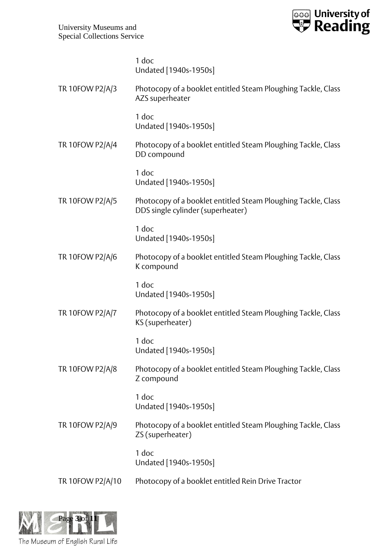

|                  | 1 doc<br>Undated [1940s-1950s]                                                                     |
|------------------|----------------------------------------------------------------------------------------------------|
| TR 10FOW P2/A/3  | Photocopy of a booklet entitled Steam Ploughing Tackle, Class<br>AZS superheater                   |
|                  | 1 doc<br>Undated [1940s-1950s]                                                                     |
| TR 10FOW P2/A/4  | Photocopy of a booklet entitled Steam Ploughing Tackle, Class<br>DD compound                       |
|                  | 1 doc<br>Undated [1940s-1950s]                                                                     |
| TR 10FOW P2/A/5  | Photocopy of a booklet entitled Steam Ploughing Tackle, Class<br>DDS single cylinder (superheater) |
|                  | 1 doc<br>Undated [1940s-1950s]                                                                     |
| TR 10FOW P2/A/6  | Photocopy of a booklet entitled Steam Ploughing Tackle, Class<br>K compound                        |
|                  | 1 doc<br>Undated [1940s-1950s]                                                                     |
| TR 10FOW P2/A/7  | Photocopy of a booklet entitled Steam Ploughing Tackle, Class<br>KS (superheater)                  |
|                  | 1 doc<br>Undated [1940s-1950s]                                                                     |
| TR 10FOW P2/A/8  | Photocopy of a booklet entitled Steam Ploughing Tackle, Class<br>Z compound                        |
|                  | 1 doc<br>Undated [1940s-1950s]                                                                     |
| TR 10FOW P2/A/9  | Photocopy of a booklet entitled Steam Ploughing Tackle, Class<br>ZS (superheater)                  |
|                  | 1 doc<br>Undated [1940s-1950s]                                                                     |
| TR 10FOW P2/A/10 | Photocopy of a booklet entitled Rein Drive Tractor                                                 |

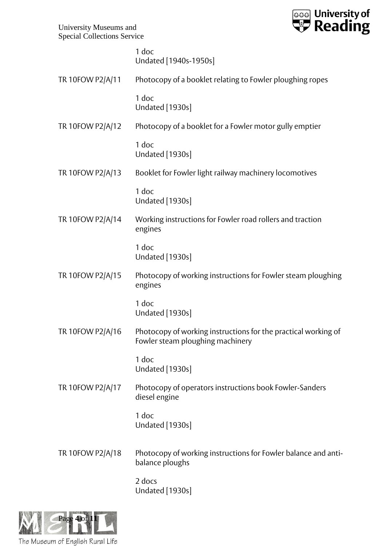

1 doc Undated [1940s-1950s]

|                  | UNUQULU   IJTUJ-I JJUJ                                                                             |
|------------------|----------------------------------------------------------------------------------------------------|
| TR 10FOW P2/A/11 | Photocopy of a booklet relating to Fowler ploughing ropes                                          |
|                  | 1 doc<br>Undated [1930s]                                                                           |
| TR 10FOW P2/A/12 | Photocopy of a booklet for a Fowler motor gully emptier                                            |
|                  | 1 doc<br><b>Undated</b> [1930s]                                                                    |
| TR 10FOW P2/A/13 | Booklet for Fowler light railway machinery locomotives                                             |
|                  | 1 doc<br>Undated [1930s]                                                                           |
| TR 10FOW P2/A/14 | Working instructions for Fowler road rollers and traction<br>engines                               |
|                  | 1 doc<br>Undated [1930s]                                                                           |
| TR 10FOW P2/A/15 | Photocopy of working instructions for Fowler steam ploughing<br>engines                            |
|                  | 1 doc<br><b>Undated</b> [1930s]                                                                    |
| TR 10FOW P2/A/16 | Photocopy of working instructions for the practical working of<br>Fowler steam ploughing machinery |
|                  | 1 doc<br>Undated [1930s]                                                                           |
| TR 10FOW P2/A/17 | Photocopy of operators instructions book Fowler-Sanders<br>diesel engine                           |
|                  | 1 doc<br><b>Undated</b> [1930s]                                                                    |
| TR 10FOW P2/A/18 | Photocopy of working instructions for Fowler balance and anti-<br>balance ploughs                  |
|                  | 2 docs<br><b>Undated</b> [1930s]                                                                   |

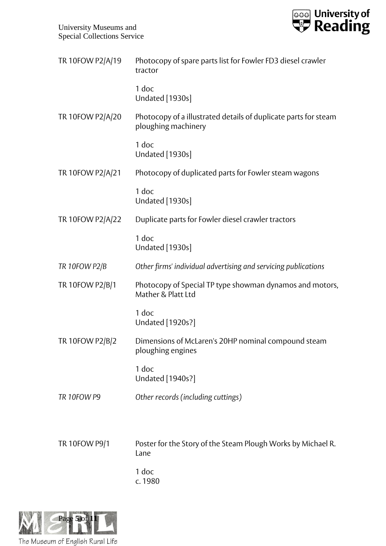

| TR 10FOW P2/A/19 | Photocopy of spare parts list for Fowler FD3 diesel crawler<br>tractor                 |
|------------------|----------------------------------------------------------------------------------------|
|                  | 1 doc<br><b>Undated</b> [1930s]                                                        |
| TR 10FOW P2/A/20 | Photocopy of a illustrated details of duplicate parts for steam<br>ploughing machinery |
|                  | 1 doc<br>Undated [1930s]                                                               |
| TR 10FOW P2/A/21 | Photocopy of duplicated parts for Fowler steam wagons                                  |
|                  | 1 doc<br>Undated [1930s]                                                               |
| TR 10FOW P2/A/22 | Duplicate parts for Fowler diesel crawler tractors                                     |
|                  | 1 doc<br><b>Undated</b> [1930s]                                                        |
| TR 10FOW P2/B    | Other firms' individual advertising and servicing publications                         |
| TR 10FOW P2/B/1  | Photocopy of Special TP type showman dynamos and motors,<br>Mather & Platt Ltd         |
|                  | 1 doc<br>Undated [1920s?]                                                              |
| TR 10FOW P2/B/2  | Dimensions of McLaren's 20HP nominal compound steam<br>ploughing engines               |
|                  | 1 doc<br>Undated [1940s?]                                                              |
| TR 10FOW P9      | Other records (including cuttings)                                                     |
|                  |                                                                                        |
| TR 10FOW P9/1    | Poster for the Story of the Steam Plough Works by Michael R.<br>Lane                   |
|                  | 1 doc                                                                                  |

c. 1980

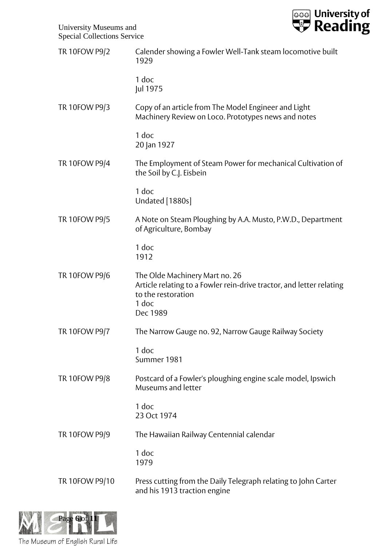

| TR 10FOW P9/2  | Calender showing a Fowler Well-Tank steam locomotive built<br>1929                                                                                |
|----------------|---------------------------------------------------------------------------------------------------------------------------------------------------|
|                | 1 doc<br>Jul 1975                                                                                                                                 |
| TR 10FOW P9/3  | Copy of an article from The Model Engineer and Light<br>Machinery Review on Loco. Prototypes news and notes                                       |
|                | 1 doc<br>20 Jan 1927                                                                                                                              |
| TR 10FOW P9/4  | The Employment of Steam Power for mechanical Cultivation of<br>the Soil by C.J. Eisbein                                                           |
|                | 1 doc<br>Undated [1880s]                                                                                                                          |
| TR 10FOW P9/5  | A Note on Steam Ploughing by A.A. Musto, P.W.D., Department<br>of Agriculture, Bombay                                                             |
|                | 1 doc<br>1912                                                                                                                                     |
| TR 10FOW P9/6  | The Olde Machinery Mart no. 26<br>Article relating to a Fowler rein-drive tractor, and letter relating<br>to the restoration<br>1 doc<br>Dec 1989 |
| TR 10FOW P9/7  | The Narrow Gauge no. 92, Narrow Gauge Railway Society                                                                                             |
|                | 1 doc<br>Summer 1981                                                                                                                              |
| TR 10FOW P9/8  | Postcard of a Fowler's ploughing engine scale model, Ipswich<br>Museums and letter                                                                |
|                | 1 doc<br>23 Oct 1974                                                                                                                              |
| TR 10FOW P9/9  | The Hawaiian Railway Centennial calendar                                                                                                          |
|                | 1 doc<br>1979                                                                                                                                     |
| TR 10FOW P9/10 | Press cutting from the Daily Telegraph relating to John Carter<br>and his 1913 traction engine                                                    |



The Museum of English Rural Life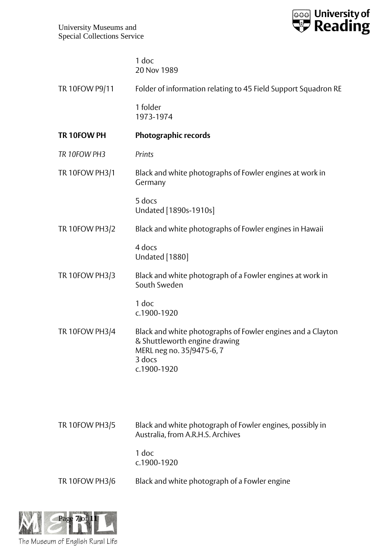

1 doc 20 Nov 1989

| TR 10FOW P9/11        | Folder of information relating to 45 Field Support Squadron RE                                                                                     |
|-----------------------|----------------------------------------------------------------------------------------------------------------------------------------------------|
|                       | 1 folder<br>1973-1974                                                                                                                              |
| TR 10FOW PH           | Photographic records                                                                                                                               |
| TR 10FOW PH3          | Prints                                                                                                                                             |
| <b>TR 10FOW PH3/1</b> | Black and white photographs of Fowler engines at work in<br>Germany                                                                                |
|                       | 5 docs<br>Undated [1890s-1910s]                                                                                                                    |
| <b>TR 10FOW PH3/2</b> | Black and white photographs of Fowler engines in Hawaii                                                                                            |
|                       | 4 docs<br>Undated [1880]                                                                                                                           |
| TR 10FOW PH3/3        | Black and white photograph of a Fowler engines at work in<br>South Sweden                                                                          |
|                       | 1 doc<br>c.1900-1920                                                                                                                               |
| <b>TR 10FOW PH3/4</b> | Black and white photographs of Fowler engines and a Clayton<br>& Shuttleworth engine drawing<br>MERL neg no. 35/9475-6, 7<br>3 docs<br>c.1900-1920 |
|                       |                                                                                                                                                    |
| <b>TR 10FOW PH3/5</b> | Black and white photograph of Fowler engines, possibly in<br>Australia, from A.R.H.S. Archives                                                     |
|                       | 1 doc<br>c.1900-1920                                                                                                                               |
| <b>TR 10FOW PH3/6</b> | Black and white photograph of a Fowler engine                                                                                                      |
|                       |                                                                                                                                                    |

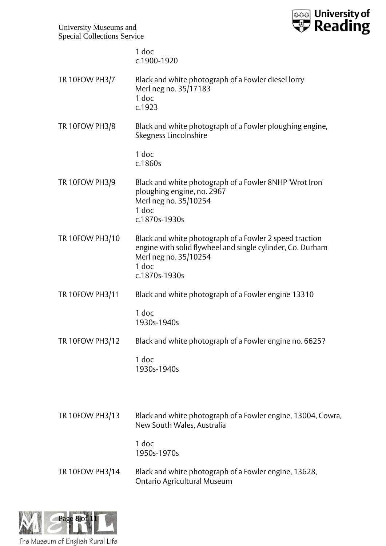

|                       | 1 doc<br>c.1900-1920                                                                                                                                                     |
|-----------------------|--------------------------------------------------------------------------------------------------------------------------------------------------------------------------|
| <b>TR 10FOW PH3/7</b> | Black and white photograph of a Fowler diesel lorry<br>Merl neg no. 35/17183<br>1 doc<br>c.1923                                                                          |
| <b>TR 10FOW PH3/8</b> | Black and white photograph of a Fowler ploughing engine,<br>Skegness Lincolnshire                                                                                        |
|                       | 1 doc<br>c.1860s                                                                                                                                                         |
| TR 10FOW PH3/9        | Black and white photograph of a Fowler 8NHP 'Wrot Iron'<br>ploughing engine, no. 2967<br>Merl neg no. 35/10254<br>1 doc<br>c.1870s-1930s                                 |
| TR 10FOW PH3/10       | Black and white photograph of a Fowler 2 speed traction<br>engine with solid flywheel and single cylinder, Co. Durham<br>Merl neg no. 35/10254<br>1 doc<br>c.1870s-1930s |
| TR 10FOW PH3/11       | Black and white photograph of a Fowler engine 13310                                                                                                                      |
|                       | 1 doc<br>1930s-1940s                                                                                                                                                     |
| TR 10FOW PH3/12       | Black and white photograph of a Fowler engine no. 6625?                                                                                                                  |
|                       | 1 doc<br>1930s-1940s                                                                                                                                                     |
| TR 10FOW PH3/13       | Black and white photograph of a Fowler engine, 13004, Cowra,<br>New South Wales, Australia<br>1 doc<br>1950s-1970s                                                       |
| TR 10FOW PH3/14       | Black and white photograph of a Fowler engine, 13628,<br>Ontario Agricultural Museum                                                                                     |
|                       |                                                                                                                                                                          |

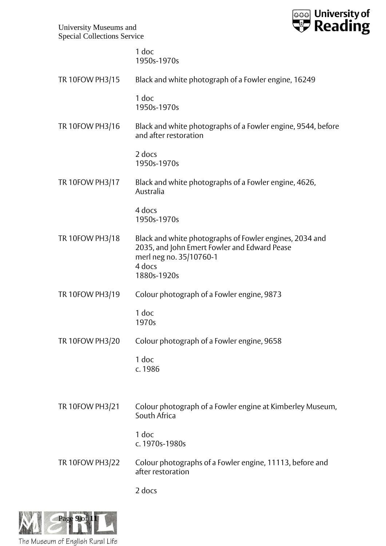

|                 | 1 doc<br>1950s-1970s                                                                                                                                        |
|-----------------|-------------------------------------------------------------------------------------------------------------------------------------------------------------|
| TR 10FOW PH3/15 | Black and white photograph of a Fowler engine, 16249                                                                                                        |
|                 | 1 doc<br>1950s-1970s                                                                                                                                        |
| TR 10FOW PH3/16 | Black and white photographs of a Fowler engine, 9544, before<br>and after restoration                                                                       |
|                 | 2 docs<br>1950s-1970s                                                                                                                                       |
| TR 10FOW PH3/17 | Black and white photographs of a Fowler engine, 4626,<br>Australia                                                                                          |
|                 | 4 docs<br>1950s-1970s                                                                                                                                       |
| TR 10FOW PH3/18 | Black and white photographs of Fowler engines, 2034 and<br>2035, and John Emert Fowler and Edward Pease<br>merl neg no. 35/10760-1<br>4 docs<br>1880s-1920s |
| TR 10FOW PH3/19 | Colour photograph of a Fowler engine, 9873                                                                                                                  |
|                 | 1 doc<br>1970s                                                                                                                                              |
| TR 10FOW PH3/20 | Colour photograph of a Fowler engine, 9658                                                                                                                  |
|                 | 1 doc<br>c. 1986                                                                                                                                            |
| TR 10FOW PH3/21 | Colour photograph of a Fowler engine at Kimberley Museum,                                                                                                   |
|                 | South Africa                                                                                                                                                |
|                 | 1 doc<br>c. 1970s-1980s                                                                                                                                     |
| TR 10FOW PH3/22 | Colour photographs of a Fowler engine, 11113, before and<br>after restoration                                                                               |
|                 | 2 docs                                                                                                                                                      |

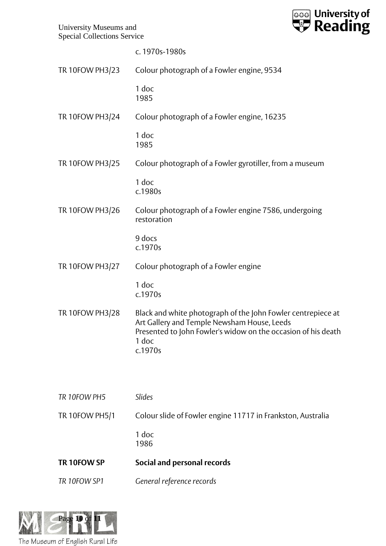

|                       | c. 1970s-1980s                                                                                                                                                                                   |
|-----------------------|--------------------------------------------------------------------------------------------------------------------------------------------------------------------------------------------------|
| TR 10FOW PH3/23       | Colour photograph of a Fowler engine, 9534                                                                                                                                                       |
|                       | 1 doc<br>1985                                                                                                                                                                                    |
| TR 10FOW PH3/24       | Colour photograph of a Fowler engine, 16235                                                                                                                                                      |
|                       | 1 doc<br>1985                                                                                                                                                                                    |
| TR 10FOW PH3/25       | Colour photograph of a Fowler gyrotiller, from a museum                                                                                                                                          |
|                       | 1 doc<br>c.1980s                                                                                                                                                                                 |
| TR 10FOW PH3/26       | Colour photograph of a Fowler engine 7586, undergoing<br>restoration                                                                                                                             |
|                       | 9 docs<br>c.1970s                                                                                                                                                                                |
| TR 10FOW PH3/27       | Colour photograph of a Fowler engine                                                                                                                                                             |
|                       | 1 doc<br>c.1970s                                                                                                                                                                                 |
| TR 10FOW PH3/28       | Black and white photograph of the John Fowler centrepiece at<br>Art Gallery and Temple Newsham House, Leeds<br>Presented to John Fowler's widow on the occasion of his death<br>1 doc<br>c.1970s |
| TR 10FOW PH5          | Slides                                                                                                                                                                                           |
| <b>TR 10FOW PH5/1</b> | Colour slide of Fowler engine 11717 in Frankston, Australia                                                                                                                                      |
|                       | 1 doc<br>1986                                                                                                                                                                                    |
| TR 10FOW SP           | Social and personal records                                                                                                                                                                      |
| TR 10FOW SP1          | General reference records                                                                                                                                                                        |
|                       |                                                                                                                                                                                                  |